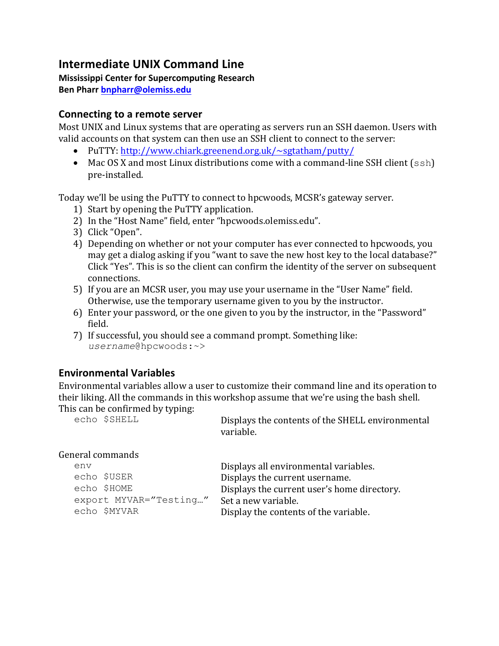# **Intermediate UNIX Command Line**

#### **Mississippi Center for Supercomputing Research**

**Ben Pharr bnpharr@olemiss.edu**

#### **Connecting to a remote server**

Most UNIX and Linux systems that are operating as servers run an SSH daemon. Users with valid accounts on that system can then use an SSH client to connect to the server:

- PuTTY: http://www.chiark.greenend.org.uk/~sgtatham/putty/
- Mac OS X and most Linux distributions come with a command-line SSH client  $(ssh)$ pre-installed.

Today we'll be using the PuTTY to connect to hpcwoods, MCSR's gateway server.

- 1) Start by opening the PuTTY application.
- 2) In the "Host Name" field, enter "hpcwoods.olemiss.edu".
- 3) Click "Open".
- 4) Depending on whether or not your computer has ever connected to hpcwoods, you may get a dialog asking if you "want to save the new host key to the local database?" Click "Yes". This is so the client can confirm the identity of the server on subsequent connections.
- 5) If you are an MCSR user, you may use your username in the "User Name" field. Otherwise, use the temporary username given to you by the instructor.
- 6) Enter your password, or the one given to you by the instructor, in the "Password" field.
- 7) If successful, you should see a command prompt. Something like: *username*@hpcwoods:~>

# **Environmental Variables**

Environmental variables allow a user to customize their command line and its operation to their liking. All the commands in this workshop assume that we're using the bash shell.

This can be confirmed by typing:<br> $\epsilon$ cho  $\frac{SSELL}{SSELL}$ 

Displays the contents of the SHELL environmental variable.

#### General commands

| env                    | Displays all environmental variables.       |
|------------------------|---------------------------------------------|
| echo \$USER            | Displays the current username.              |
| echo \$HOME            | Displays the current user's home directory. |
| export MYVAR="Testing" | Set a new variable.                         |
| echo \$MYVAR           | Display the contents of the variable.       |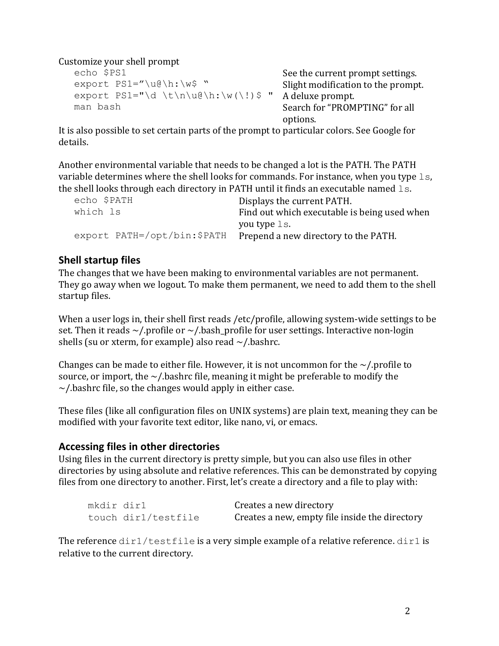Customize your shell prompt

```
echo $PS1<br>export PS1="\u@\h:\w$ " See the current prompt settings.
export PS1="\d \t\n\u@\h:\w(\!)$ " A deluxe prompt.
man bash Search for "PROMPTING" for all
```
Slight modification to the prompt. options.

It is also possible to set certain parts of the prompt to particular colors. See Google for details.

Another environmental variable that needs to be changed a lot is the PATH. The PATH variable determines where the shell looks for commands. For instance, when you type  $\text{ls}$ , the shell looks through each directory in PATH until it finds an executable named  $ls.$ 

| echo \$PATH                 | Displays the current PATH.                   |
|-----------------------------|----------------------------------------------|
| which ls                    | Find out which executable is being used when |
|                             | you type ls.                                 |
| export PATH=/opt/bin:\$PATH | Prepend a new directory to the PATH.         |

## **Shell startup files**

The changes that we have been making to environmental variables are not permanent. They go away when we logout. To make them permanent, we need to add them to the shell startup files.

When a user logs in, their shell first reads /etc/profile, allowing system-wide settings to be set. Then it reads  $\sim$ /.profile or  $\sim$ /.bash\_profile for user settings. Interactive non-login shells (su or xterm, for example) also read  $\sim$ /.bashrc.

Changes can be made to either file. However, it is not uncommon for the  $\sim$ /.profile to source, or import, the  $\sim$ /.bashrc file, meaning it might be preferable to modify the  $\sim$ /.bashrc file, so the changes would apply in either case.

These files (like all configuration files on UNIX systems) are plain text, meaning they can be modified with your favorite text editor, like nano, vi, or emacs.

### **Accessing files in other directories**

Using files in the current directory is pretty simple, but you can also use files in other directories by using absolute and relative references. This can be demonstrated by copying files from one directory to another. First, let's create a directory and a file to play with:

| mkdir dir1 |                     | Creates a new directory                        |
|------------|---------------------|------------------------------------------------|
|            | touch dir1/testfile | Creates a new, empty file inside the directory |

The reference  $\text{dir1/testfile}$  is a very simple example of a relative reference.  $\text{dir1}$  is relative to the current directory.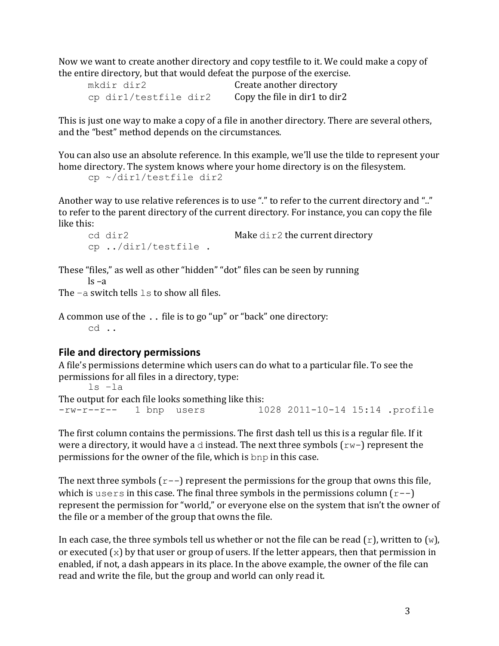Now we want to create another directory and copy testfile to it. We could make a copy of the entire directory, but that would defeat the purpose of the exercise.

| mkdir dir2            | Create another directory      |
|-----------------------|-------------------------------|
| cp dir1/testfile dir2 | Copy the file in dir1 to dir2 |

This is just one way to make a copy of a file in another directory. There are several others, and the "best" method depends on the circumstances.

You can also use an absolute reference. In this example, we'll use the tilde to represent your home directory. The system knows where your home directory is on the filesystem. cp ~/dir1/testfile dir2

Another way to use relative references is to use "." to refer to the current directory and ".." to refer to the parent directory of the current directory. For instance, you can copy the file like this:

```
cd dir2 make dir2 the current directory
cp ../dir1/testfile .
```
These "files," as well as other "hidden" "dot" files can be seen by running  $\log -a$ 

The  $-a$  switch tells  $1s$  to show all files.

A common use of the  $\ldots$  file is to go "up" or "back" one directory: cd ..

#### **File and directory permissions**

A file's permissions determine which users can do what to a particular file. To see the permissions for all files in a directory, type:

```
ls –la
The output for each file looks something like this:
-rw-r--r-- 1 bnp users 1028 2011-10-14 15:14 .profile
```
The first column contains the permissions. The first dash tell us this is a regular file. If it were a directory, it would have a  $\triangle$  instead. The next three symbols  $(rw-)$  represent the permissions for the owner of the file, which is bnp in this case.

The next three symbols  $(r-$ ) represent the permissions for the group that owns this file, which is users in this case. The final three symbols in the permissions column  $(r-$ ) represent the permission for "world," or everyone else on the system that isn't the owner of the file or a member of the group that owns the file.

In each case, the three symbols tell us whether or not the file can be read  $(r)$ , written to  $(w)$ , or executed  $(x)$  by that user or group of users. If the letter appears, then that permission in enabled, if not, a dash appears in its place. In the above example, the owner of the file can read and write the file, but the group and world can only read it.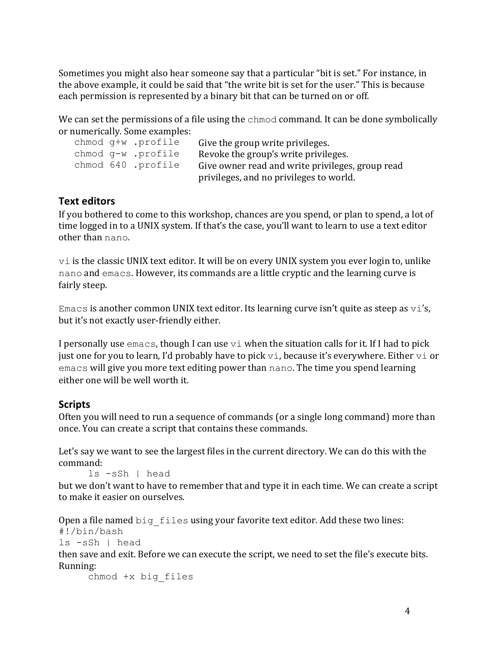Sometimes you might also hear someone say that a particular "bit is set." For instance, in the above example, it could be said that "the write bit is set for the user." This is because each permission is represented by a binary bit that can be turned on or off.

We can set the permissions of a file using the chmod command. It can be done symbolically or numerically. Some examples:

|  | chmod q+w .profile | Give the group write privileges.                 |
|--|--------------------|--------------------------------------------------|
|  | chmod g-w .profile | Revoke the group's write privileges.             |
|  | chmod 640 .profile | Give owner read and write privileges, group read |
|  |                    | privileges, and no privileges to world.          |

### **Text editors**

If you bothered to come to this workshop, chances are you spend, or plan to spend, a lot of time logged in to a UNIX system. If that's the case, you'll want to learn to use a text editor other than nano.

 $v$  is the classic UNIX text editor. It will be on every UNIX system you ever login to, unlike nano and emacs. However, its commands are a little cryptic and the learning curve is fairly steep.

Emacs is another common UNIX text editor. Its learning curve isn't quite as steep as  $\forall i$ 's, but it's not exactly user-friendly either.

I personally use  $emacs$ , though I can use  $\forall i$  when the situation calls for it. If I had to pick just one for you to learn, I'd probably have to pick  $\forall i$ , because it's everywhere. Either  $\forall i$  or emacs will give you more text editing power than nano. The time you spend learning either one will be well worth it.

### **Scripts**

Often you will need to run a sequence of commands (or a single long command) more than once. You can create a script that contains these commands.

Let's say we want to see the largest files in the current directory. We can do this with the command:

ls -sSh | head

but we don't want to have to remember that and type it in each time. We can create a script to make it easier on ourselves.

```
Open a file named big files using your favorite text editor. Add these two lines:
#!/bin/bash
```

```
ls -sSh | head
```
then save and exit. Before we can execute the script, we need to set the file's execute bits. Running:

chmod +x big\_files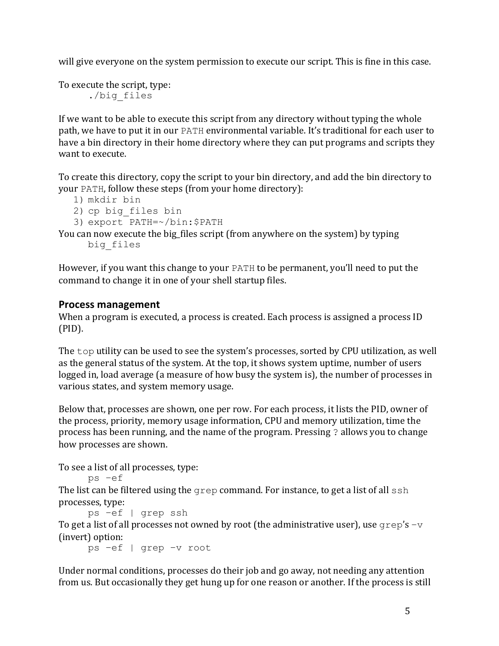will give everyone on the system permission to execute our script. This is fine in this case.

To execute the script, type: ./big\_files

If we want to be able to execute this script from any directory without typing the whole path, we have to put it in our PATH environmental variable. It's traditional for each user to have a bin directory in their home directory where they can put programs and scripts they want to execute.

To create this directory, copy the script to your bin directory, and add the bin directory to your PATH, follow these steps (from your home directory):

```
1) mkdir bin
```

```
2) cp big_files bin
```

```
3) export PATH=~/bin:$PATH
```
You can now execute the big\_files script (from anywhere on the system) by typing big\_files

However, if you want this change to your PATH to be permanent, you'll need to put the command to change it in one of your shell startup files.

### **Process management**

When a program is executed, a process is created. Each process is assigned a process ID (PID).

The top utility can be used to see the system's processes, sorted by CPU utilization, as well as the general status of the system. At the top, it shows system uptime, number of users logged in, load average (a measure of how busy the system is), the number of processes in various states, and system memory usage.

Below that, processes are shown, one per row. For each process, it lists the PID, owner of the process, priority, memory usage information, CPU and memory utilization, time the process has been running, and the name of the program. Pressing ? allows you to change how processes are shown.

To see a list of all processes, type:

```
ps –ef
```
The list can be filtered using the  $q$ rep command. For instance, to get a list of all  $\sinh$ processes, type:

```
ps –ef | grep ssh
```
To get a list of all processes not owned by root (the administrative user), use  $qrep's-v$ (invert) option:

ps –ef | grep –v root

Under normal conditions, processes do their job and go away, not needing any attention from us. But occasionally they get hung up for one reason or another. If the process is still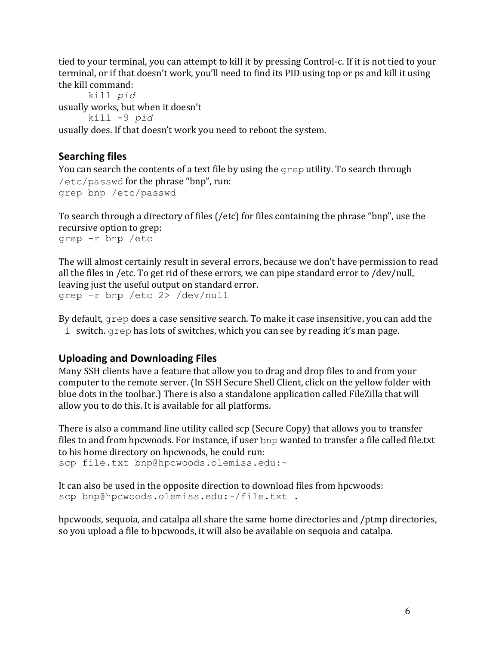tied to your terminal, you can attempt to kill it by pressing Control-c. If it is not tied to your terminal, or if that doesn't work, you'll need to find its PID using top or ps and kill it using the kill command:

kill *pid* usually works, but when it doesn't kill -9 *pid* usually does. If that doesn't work you need to reboot the system.

# **Searching files**

You can search the contents of a text file by using the  $q$ rep utility. To search through  $/etc/p$ asswd for the phrase "bnp", run: grep bnp /etc/passwd

To search through a directory of files (/etc) for files containing the phrase "bnp", use the recursive option to grep: grep –r bnp /etc

The will almost certainly result in several errors, because we don't have permission to read all the files in /etc. To get rid of these errors, we can pipe standard error to /dev/null, leaving just the useful output on standard error. grep –r bnp /etc 2> /dev/null

By default,  $q$ rep does a case sensitive search. To make it case insensitive, you can add the  $-i$  switch.  $q$ rep has lots of switches, which you can see by reading it's man page.

## **Uploading and Downloading Files**

Many SSH clients have a feature that allow you to drag and drop files to and from your computer to the remote server. (In SSH Secure Shell Client, click on the yellow folder with blue dots in the toolbar.) There is also a standalone application called FileZilla that will allow you to do this. It is available for all platforms.

There is also a command line utility called scp (Secure Copy) that allows you to transfer files to and from hpcwoods. For instance, if user bnp wanted to transfer a file called file.txt to his home directory on hpcwoods, he could run: scp file.txt bnp@hpcwoods.olemiss.edu:~

It can also be used in the opposite direction to download files from hpcwoods: scp bnp@hpcwoods.olemiss.edu:~/file.txt .

hpcwoods, sequoia, and catalpa all share the same home directories and /ptmp directories, so you upload a file to hpcwoods, it will also be available on sequoia and catalpa.